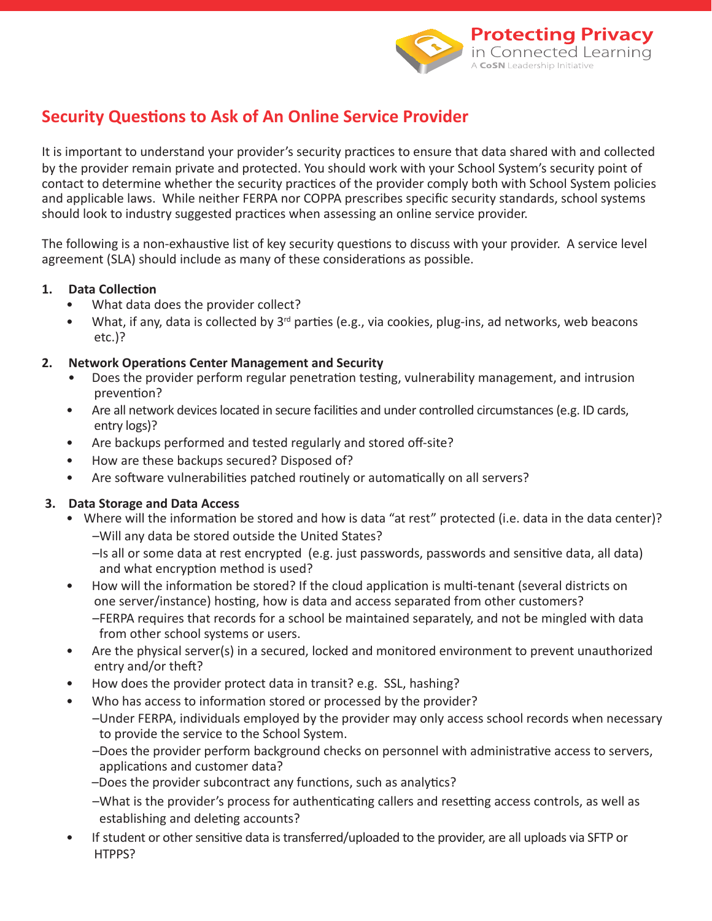

# **Security Questions to Ask of An Online Service Provider**

It is important to understand your provider's security practices to ensure that data shared with and collected by the provider remain private and protected. You should work with your School System's security point of contact to determine whether the security practices of the provider comply both with School System policies and applicable laws. While neither FERPA nor COPPA prescribes specific security standards, school systems should look to industry suggested practices when assessing an online service provider.

The following is a non-exhaustive list of key security questions to discuss with your provider. A service level agreement (SLA) should include as many of these considerations as possible.

## 1. Data Collection

- What data does the provider collect?
- What, if any, data is collected by  $3<sup>rd</sup>$  parties (e.g., via cookies, plug-ins, ad networks, web beacons etc.)?

## **2.** Network Operations Center Management and Security

- Does the provider perform regular penetration testing, vulnerability management, and intrusion prevention?
- Are all network devices located in secure facilities and under controlled circumstances (e.g. ID cards, entry logs)?
- Are backups performed and tested regularly and stored off-site?
- How are these backups secured? Disposed of?
- Are software vulnerabilities patched routinely or automatically on all servers?

# **3. Data Storage and Data Access**

- Where will the information be stored and how is data "at rest" protected (i.e. data in the data center)? –Will any data be stored outside the United States?
	- -Is all or some data at rest encrypted (e.g. just passwords, passwords and sensitive data, all data) and what encryption method is used?
- How will the information be stored? If the cloud application is multi-tenant (several districts on one server/instance) hosting, how is data and access separated from other customers? –FERPA requires that records for a school be maintained separately, and not be mingled with data from other school systems or users.
- Are the physical server(s) in a secured, locked and monitored environment to prevent unauthorized entry and/or theft?
- How does the provider protect data in transit? e.g. SSL, hashing?
- Who has access to information stored or processed by the provider?
	- –Under FERPA, individuals employed by the provider may only access school records when necessary to provide the service to the School System.
	- –Does the provider perform background checks on personnel with administrative access to servers, applications and customer data?
	- –Does the provider subcontract any functions, such as analytics?
	- –What is the provider's process for authenticating callers and resetting access controls, as well as establishing and deleting accounts?
- If student or other sensitive data is transferred/uploaded to the provider, are all uploads via SFTP or HTPPS?